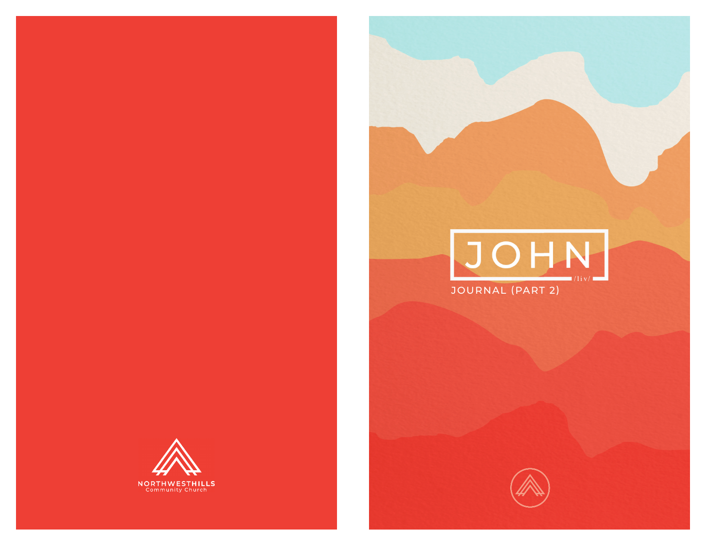



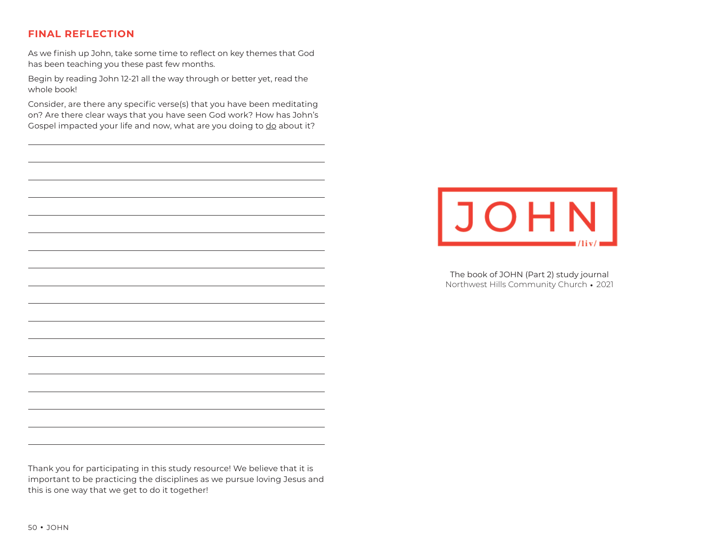# **FINAL REFLECTION**

As we finish up John, take some time to reflect on key themes that God has been teaching you these past few months.

Begin by reading John 12-21 all the way through or better yet, read the whole book!

Consider, are there any specific verse(s) that you have been meditating on? Are there clear ways that you have seen God work? How has John's Gospel impacted your life and now, what are you doing to do about it?



The book of JOHN (Part 2) study journal Northwest Hills Community Church • 2021

Thank you for participating in this study resource! We believe that it is important to be practicing the disciplines as we pursue loving Jesus and this is one way that we get to do it together!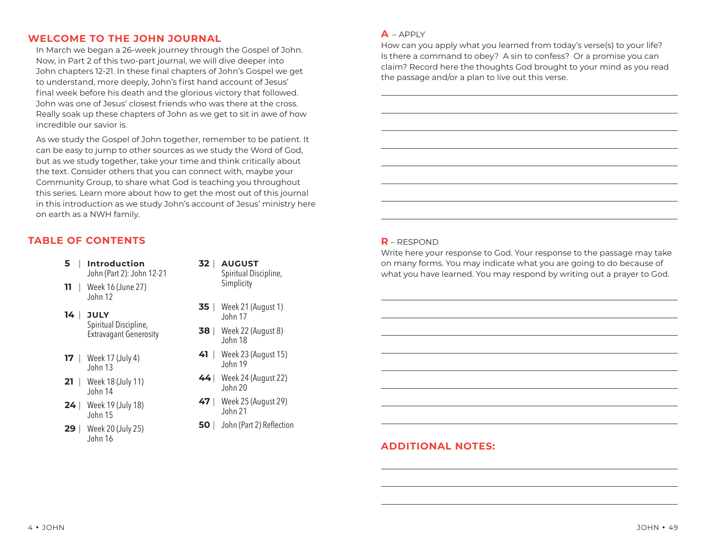### **WELCOME TO THE JOHN JOURNAL**

In March we began a 26-week journey through the Gospel of John. Now, in Part 2 of this two-part journal, we will dive deeper into John chapters 12-21. In these final chapters of John's Gospel we get to understand, more deeply, John's first hand account of Jesus' final week before his death and the glorious victory that followed. John was one of Jesus' closest friends who was there at the cross. Really soak up these chapters of John as we get to sit in awe of how incredible our savior is.

As we study the Gospel of John together, remember to be patient. It can be easy to jump to other sources as we study the Word of God, but as we study together, take your time and think critically about the text. Consider others that you can connect with, maybe your Community Group, to share what God is teaching you throughout this series. Learn more about how to get the most out of this journal in this introduction as we study John's account of Jesus' ministry here on earth as a NWH family.

# **TABLE OF CONTENTS**

- **5** | **Introduction** John (Part 2): John 12-21
- **11** | Week 16 (June 27) John 12
- **14** | **JULY** Spiritual Discipline, Extravagant Generosity
- **17** | Week 17 (July 4) John 13
- **21** | Week 18 (July 11) John 14
- **24** | Week 19 (July 18) John 15
- **29** | Week 20 (July 25) John 16
- **32** | **AUGUST** Spiritual Discipline, Simplicity
- **35** | Week 21 (August 1) John 17
- **38** | Week 22 (August 8) John 18
- **41** | Week 23 (August 15) John 19
- **44**| Week 24 (August 22) John 20
- **47** | Week 25 (August 29) John 21
- **50** | John (Part 2) Reflection

#### **A** – APPLY

How can you apply what you learned from today's verse(s) to your life? Is there a command to obey? A sin to confess? Or a promise you can claim? Record here the thoughts God brought to your mind as you read the passage and/or a plan to live out this verse.

#### **R** – RESPOND

Write here your response to God. Your response to the passage may take on many forms. You may indicate what you are going to do because of what you have learned. You may respond by writing out a prayer to God.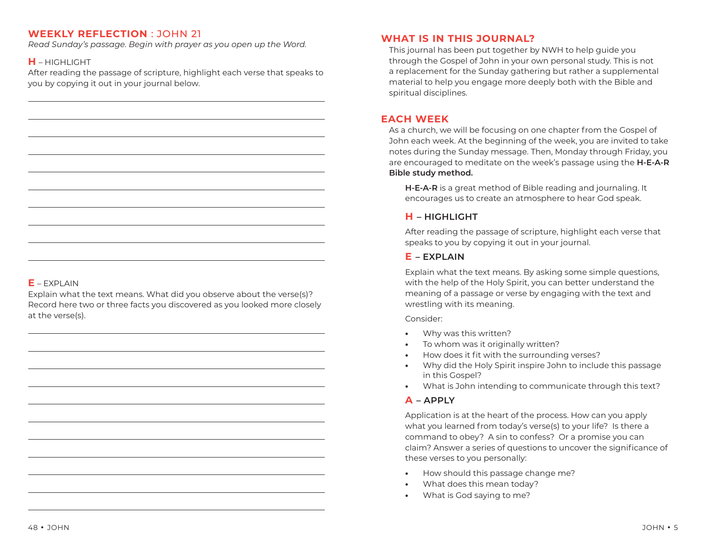*Read Sunday's passage. Begin with prayer as you open up the Word.* 

# **H** – HIGHLIGHT

After reading the passage of scripture, highlight each verse that speaks to you by copying it out in your journal below.

## $E - FXPI AIN$

Explain what the text means. What did you observe about the verse(s)? Record here two or three facts you discovered as you looked more closely at the verse(s).

### **WHAT IS IN THIS JOURNAL?**

This journal has been put together by NWH to help guide you through the Gospel of John in your own personal study. This is not a replacement for the Sunday gathering but rather a supplemental material to help you engage more deeply both with the Bible and spiritual disciplines.

### **EACH WEEK**

As a church, we will be focusing on one chapter from the Gospel of John each week. At the beginning of the week, you are invited to take notes during the Sunday message. Then, Monday through Friday, you are encouraged to meditate on the week's passage using the **H-E-A-R Bible study method.** 

**H-E-A-R** is a great method of Bible reading and journaling. It encourages us to create an atmosphere to hear God speak.

## **H – HIGHLIGHT**

After reading the passage of scripture, highlight each verse that speaks to you by copying it out in your journal.

### **E – EXPLAIN**

Explain what the text means. By asking some simple questions, with the help of the Holy Spirit, you can better understand the meaning of a passage or verse by engaging with the text and wrestling with its meaning.

#### Consider:

- **•** Why was this written?
- **•** To whom was it originally written?
- **•• How does it fit with the surrounding verses?**
- **•** Why did the Holy Spirit inspire John to include this passage in this Gospel?
- **•** What is John intending to communicate through this text?

### **A – APPLY**

Application is at the heart of the process. How can you apply what you learned from today's verse(s) to your life? Is there a command to obey? A sin to confess? Or a promise you can claim? Answer a series of questions to uncover the significance of these verses to you personally:

- **•** How should this passage change me?
- **•** What does this mean today?
- **•** What is God saying to me?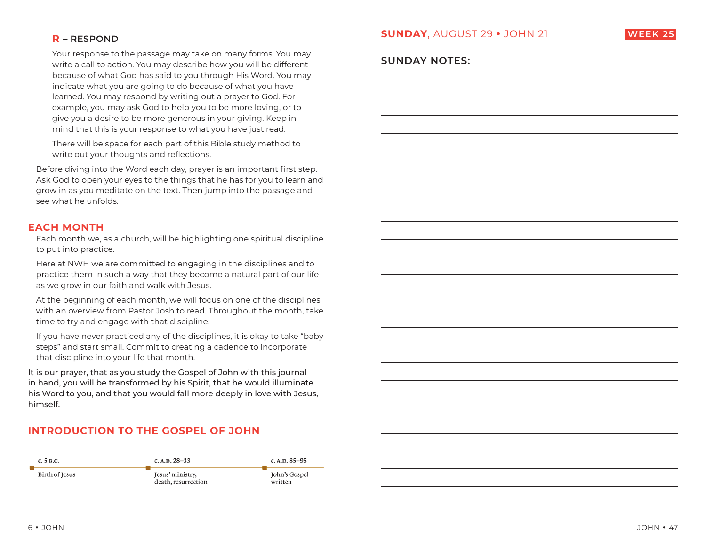

### **R – RESPOND**

Your response to the passage may take on many forms. You may write a call to action. You may describe how you will be different because of what God has said to you through His Word. You may indicate what you are going to do because of what you have learned. You may respond by writing out a prayer to God. For example, you may ask God to help you to be more loving, or to give you a desire to be more generous in your giving. Keep in mind that this is your response to what you have just read.

There will be space for each part of this Bible study method to write out your thoughts and reflections.

Before diving into the Word each day, prayer is an important first step. Ask God to open your eyes to the things that he has for you to learn and grow in as you meditate on the text. Then jump into the passage and see what he unfolds.

### **EACH MONTH**

Each month we, as a church, will be highlighting one spiritual discipline to put into practice.

Here at NWH we are committed to engaging in the disciplines and to practice them in such a way that they become a natural part of our life as we grow in our faith and walk with Jesus.

At the beginning of each month, we will focus on one of the disciplines with an overview from Pastor Josh to read. Throughout the month, take time to try and engage with that discipline.

If you have never practiced any of the disciplines, it is okay to take "baby steps" and start small. Commit to creating a cadence to incorporate that discipline into your life that month.

It is our prayer, that as you study the Gospel of John with this journal in hand, you will be transformed by his Spirit, that he would illuminate his Word to you, and that you would fall more deeply in love with Jesus, himself.

# **INTRODUCTION TO THE GOSPEL OF JOHN**



# **SUNDAY NOTES:**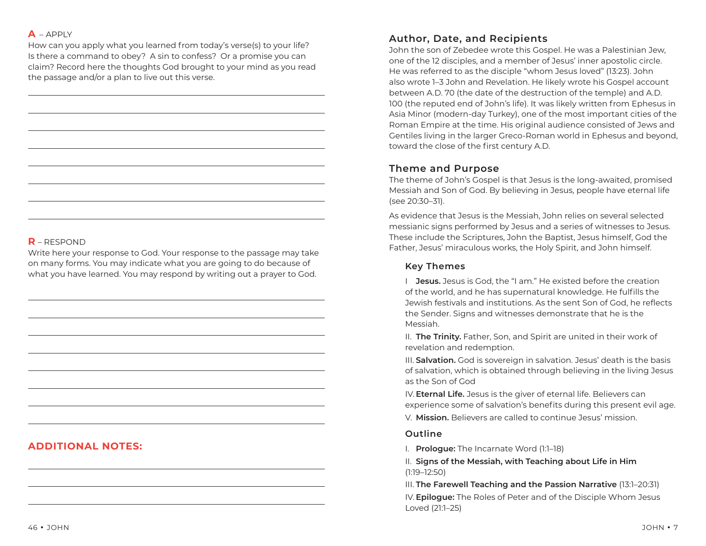### **A** – APPLY

How can you apply what you learned from today's verse(s) to your life? Is there a command to obey? A sin to confess? Or a promise you can claim? Record here the thoughts God brought to your mind as you read the passage and/or a plan to live out this verse.

## **R** – RESPOND

Write here your response to God. Your response to the passage may take on many forms. You may indicate what you are going to do because of what you have learned. You may respond by writing out a prayer to God.

# **ADDITIONAL NOTES:**

# **Author, Date, and Recipients**

John the son of Zebedee wrote this Gospel. He was a Palestinian Jew, one of the 12 disciples, and a member of Jesus' inner apostolic circle. He was referred to as the disciple "whom Jesus loved" (13:23). John also wrote 1–3 John and Revelation. He likely wrote his Gospel account between A.D. 70 (the date of the destruction of the temple) and A.D. 100 (the reputed end of John's life). It was likely written from Ephesus in Asia Minor (modern-day Turkey), one of the most important cities of the Roman Empire at the time. His original audience consisted of Jews and Gentiles living in the larger Greco-Roman world in Ephesus and beyond, toward the close of the first century A.D.

# **Theme and Purpose**

The theme of John's Gospel is that Jesus is the long-awaited, promised Messiah and Son of God. By believing in Jesus, people have eternal life (see 20:30–31).

As evidence that Jesus is the Messiah, John relies on several selected messianic signs performed by Jesus and a series of witnesses to Jesus. These include the Scriptures, John the Baptist, Jesus himself, God the Father, Jesus' miraculous works, the Holy Spirit, and John himself.

# **Key Themes**

I **Jesus.** Jesus is God, the "I am." He existed before the creation of the world, and he has supernatural knowledge. He fulfills the Jewish festivals and institutions. As the sent Son of God, he reflects the Sender. Signs and witnesses demonstrate that he is the Messiah.

II. **The Trinity.** Father, Son, and Spirit are united in their work of revelation and redemption.

III. **Salvation.** God is sovereign in salvation. Jesus' death is the basis of salvation, which is obtained through believing in the living Jesus as the Son of God

IV. **Eternal Life.** Jesus is the giver of eternal life. Believers can experience some of salvation's benefits during this present evil age. V. **Mission.** Believers are called to continue Jesus' mission.

### **Outline**

I. **Prologue:** The Incarnate Word (1:1–18)

II. **Signs of the Messiah, with Teaching about Life in Him** (1:19–12:50)

III. **The Farewell Teaching and the Passion Narrative** (13:1–20:31) IV. **Epilogue:** The Roles of Peter and of the Disciple Whom Jesus Loved (21:1–25)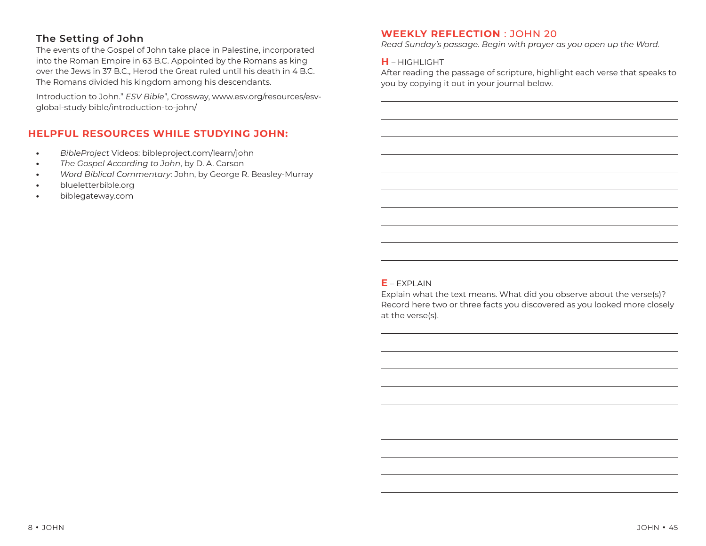# **The Setting of John**

The events of the Gospel of John take place in Palestine, incorporated into the Roman Empire in 63 B.C. Appointed by the Romans as king over the Jews in 37 B.C., Herod the Great ruled until his death in 4 B.C. The Romans divided his kingdom among his descendants.

Introduction to John." *ESV Bible*", Crossway, www.esv.org/resources/esvglobal-study bible/introduction-to-john/

# **HELPFUL RESOURCES WHILE STUDYING JOHN:**

- *BibleProject* Videos: bibleproject.com/learn/john
- *The Gospel According to John*, by D. A. Carson
- *Word Biblical Commentary*: John, by George R. Beasley-Murray
- blueletterbible.org
- biblegateway.com

### **WEEKLY REFLECTION** : JOHN 20

*Read Sunday's passage. Begin with prayer as you open up the Word.* 

### **H** – HIGHLIGHT

After reading the passage of scripture, highlight each verse that speaks to you by copying it out in your journal below.

### $E - FXPI AIN$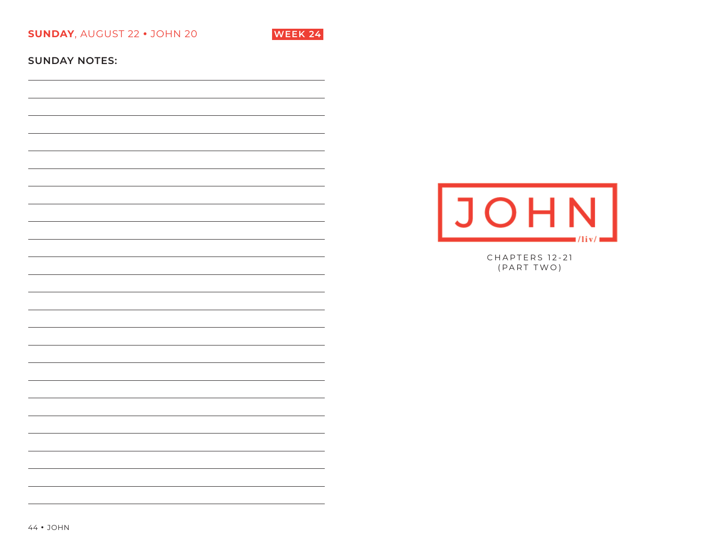**SUNDAY**, AUGUST 22 **•** JOHN 20 **WEEK 24**



**SUNDAY NOTES:** 



CHAPTERS 12-21 (PART TWO)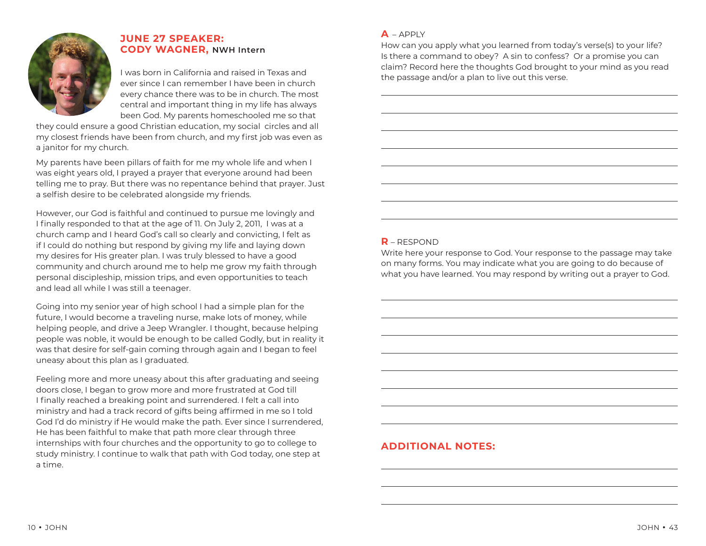

# **JUNE 27 SPEAKER: CODY WAGNER, NWH Intern**

I was born in California and raised in Texas and ever since I can remember I have been in church every chance there was to be in church. The most central and important thing in my life has always been God. My parents homeschooled me so that

they could ensure a good Christian education, my social circles and all my closest friends have been from church, and my first job was even as a janitor for my church.

My parents have been pillars of faith for me my whole life and when I was eight years old, I prayed a prayer that everyone around had been telling me to pray. But there was no repentance behind that prayer. Just a selfish desire to be celebrated alongside my friends.

However, our God is faithful and continued to pursue me lovingly and I finally responded to that at the age of 11. On July 2, 2011, I was at a church camp and I heard God's call so clearly and convicting, I felt as if I could do nothing but respond by giving my life and laying down my desires for His greater plan. I was truly blessed to have a good community and church around me to help me grow my faith through personal discipleship, mission trips, and even opportunities to teach and lead all while I was still a teenager.

Going into my senior year of high school I had a simple plan for the future, I would become a traveling nurse, make lots of money, while helping people, and drive a Jeep Wrangler. I thought, because helping people was noble, it would be enough to be called Godly, but in reality it was that desire for self-gain coming through again and I began to feel uneasy about this plan as I graduated.

Feeling more and more uneasy about this after graduating and seeing doors close, I began to grow more and more frustrated at God till I finally reached a breaking point and surrendered. I felt a call into ministry and had a track record of gifts being affirmed in me so I told God I'd do ministry if He would make the path. Ever since I surrendered, He has been faithful to make that path more clear through three internships with four churches and the opportunity to go to college to study ministry. I continue to walk that path with God today, one step at a time.

### **A** – APPLY

How can you apply what you learned from today's verse(s) to your life? Is there a command to obey? A sin to confess? Or a promise you can claim? Record here the thoughts God brought to your mind as you read the passage and/or a plan to live out this verse.

## **R** – RESPOND

Write here your response to God. Your response to the passage may take on many forms. You may indicate what you are going to do because of what you have learned. You may respond by writing out a prayer to God.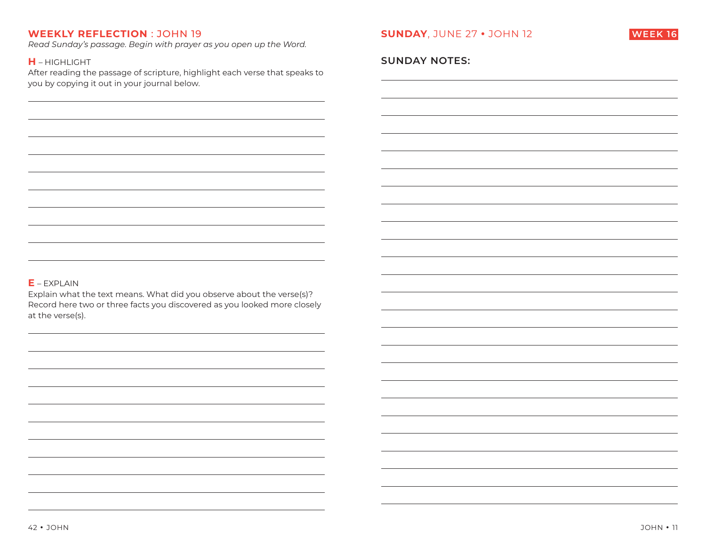*Read Sunday's passage. Begin with prayer as you open up the Word.* 

### **H** – HIGHLIGHT

After reading the passage of scripture, highlight each verse that speaks to you by copying it out in your journal below.



### **SUNDAY NOTES:**

### **E** – EXPLAIN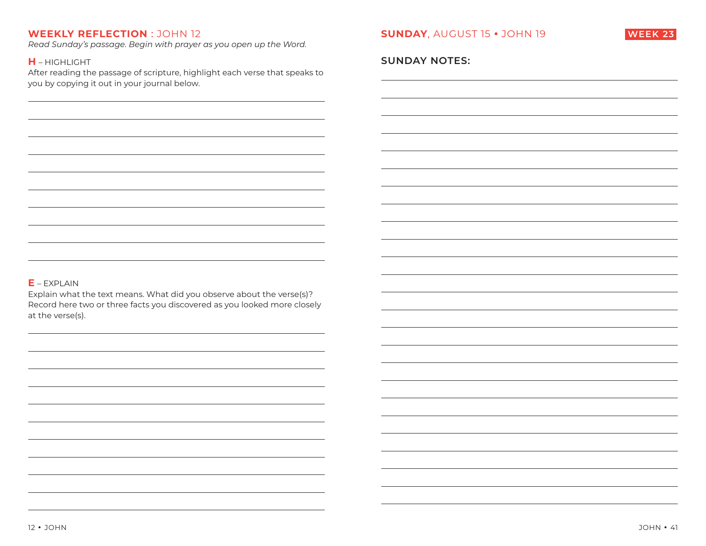*Read Sunday's passage. Begin with prayer as you open up the Word.* 

#### **H** – HIGHLIGHT

After reading the passage of scripture, highlight each verse that speaks to you by copying it out in your journal below.



### **SUNDAY NOTES:**

#### **E** – EXPLAIN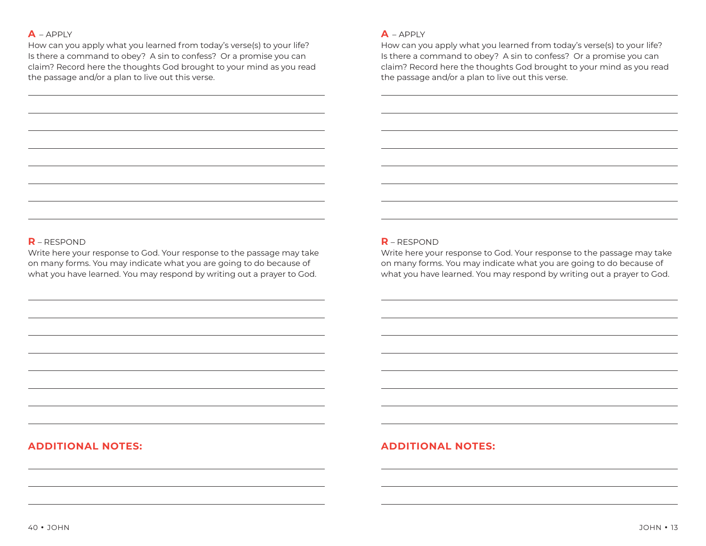#### **A** – APPLY

How can you apply what you learned from today's verse(s) to your life? Is there a command to obey? A sin to confess? Or a promise you can claim? Record here the thoughts God brought to your mind as you read the passage and/or a plan to live out this verse.

#### **A** – APPLY

How can you apply what you learned from today's verse(s) to your life? Is there a command to obey? A sin to confess? Or a promise you can claim? Record here the thoughts God brought to your mind as you read the passage and/or a plan to live out this verse.

### **R** – RESPOND

Write here your response to God. Your response to the passage may take on many forms. You may indicate what you are going to do because of what you have learned. You may respond by writing out a prayer to God.

#### **R** – RESPOND

Write here your response to God. Your response to the passage may take on many forms. You may indicate what you are going to do because of what you have learned. You may respond by writing out a prayer to God.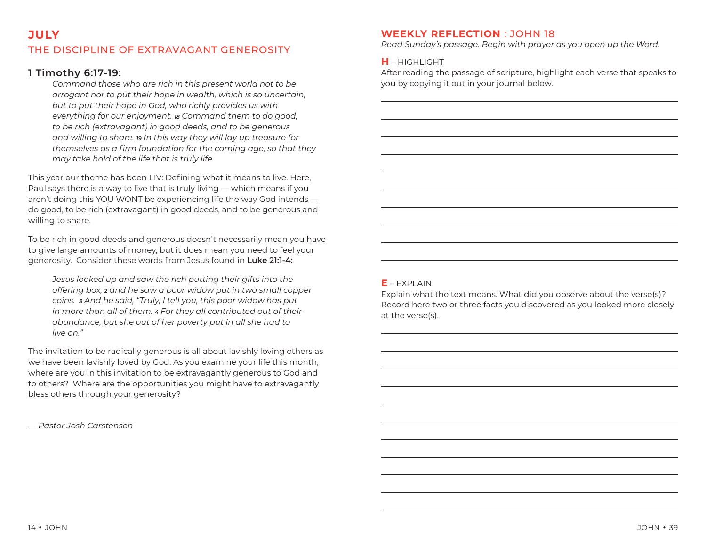# THE DISCIPLINE OF EXTRAVAGANT GENEROSITY

## **1 Timothy 6:17-19:**

*Command those who are rich in this present world not to be arrogant nor to put their hope in wealth, which is so uncertain, but to put their hope in God, who richly provides us with everything for our enjoyment. 18 Command them to do good, to be rich (extravagant) in good deeds, and to be generous and willing to share. 19 In this way they will lay up treasure for*  themselves as a firm foundation for the coming age, so that they *may take hold of the life that is truly life.* 

This year our theme has been LIV: Defining what it means to live. Here, Paul says there is a way to live that is truly living — which means if you aren't doing this YOU WONT be experiencing life the way God intends do good, to be rich (extravagant) in good deeds, and to be generous and willing to share.

To be rich in good deeds and generous doesn't necessarily mean you have to give large amounts of money, but it does mean you need to feel your generosity. Consider these words from Jesus found in **Luke 21:1-4:**

*Jesus looked up and saw the rich putting their gifts into the offering box, 2 and he saw a poor widow put in two small copper coins. 3 And he said, "Truly, I tell you, this poor widow has put in more than all of them. 4 For they all contributed out of their abundance, but she out of her poverty put in all she had to live on."*

The invitation to be radically generous is all about lavishly loving others as we have been lavishly loved by God. As you examine your life this month, where are you in this invitation to be extravagantly generous to God and to others? Where are the opportunities you might have to extravagantly bless others through your generosity?

*— Pastor Josh Carstensen*

### **WEEKLY REFLECTION** : JOHN 18

*Read Sunday's passage. Begin with prayer as you open up the Word.* 

#### **H** – HIGHLIGHT

After reading the passage of scripture, highlight each verse that speaks to you by copying it out in your journal below.

#### $E - FXPI AIN$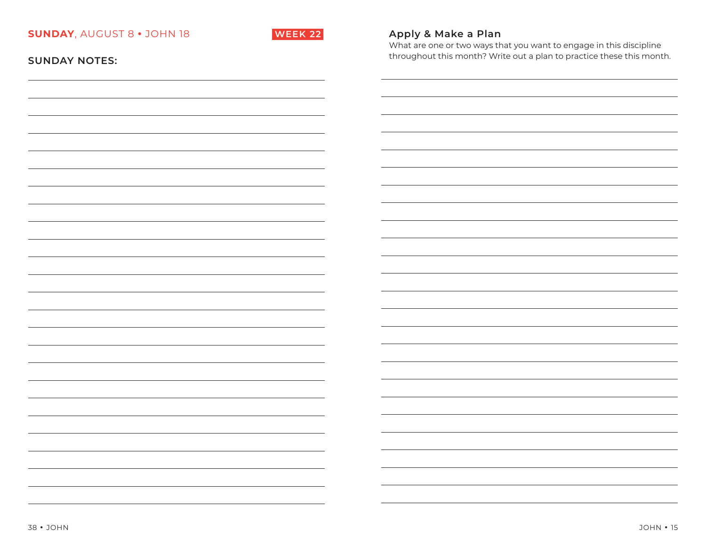

# **Apply & Make a Plan**

What are one or two ways that you want to engage in this discipline throughout this month? Write out a plan to practice these this month.

| <b>SUNDAY NOTES:</b> |  |  |  |  |  |  |  |  |
|----------------------|--|--|--|--|--|--|--|--|
|----------------------|--|--|--|--|--|--|--|--|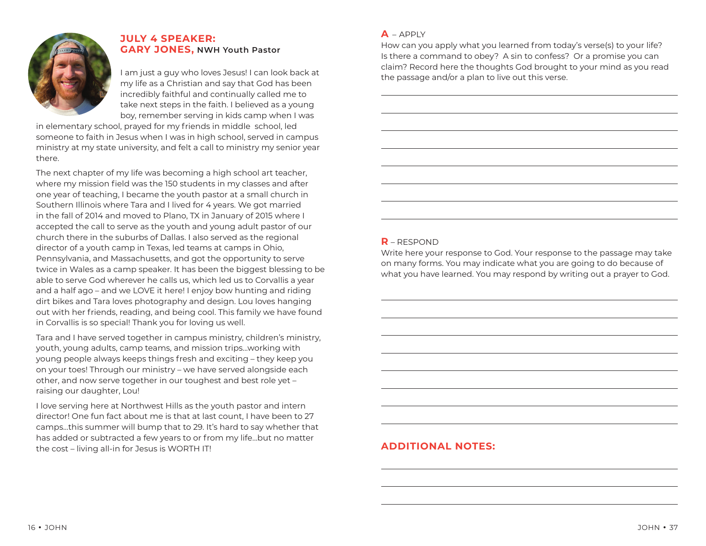

## **JULY 4 SPEAKER: GARY JONES, NWH Youth Pastor**

I am just a guy who loves Jesus! I can look back at my life as a Christian and say that God has been incredibly faithful and continually called me to take next steps in the faith. I believed as a young boy, remember serving in kids camp when I was

in elementary school, prayed for my friends in middle school, led someone to faith in Jesus when I was in high school, served in campus ministry at my state university, and felt a call to ministry my senior year there.

The next chapter of my life was becoming a high school art teacher, where my mission field was the 150 students in my classes and after one year of teaching, I became the youth pastor at a small church in Southern Illinois where Tara and I lived for 4 years. We got married in the fall of 2014 and moved to Plano, TX in January of 2015 where I accepted the call to serve as the youth and young adult pastor of our church there in the suburbs of Dallas. I also served as the regional director of a youth camp in Texas, led teams at camps in Ohio, Pennsylvania, and Massachusetts, and got the opportunity to serve twice in Wales as a camp speaker. It has been the biggest blessing to be able to serve God wherever he calls us, which led us to Corvallis a year and a half ago – and we LOVE it here! I enjoy bow hunting and riding dirt bikes and Tara loves photography and design. Lou loves hanging out with her friends, reading, and being cool. This family we have found in Corvallis is so special! Thank you for loving us well.

Tara and I have served together in campus ministry, children's ministry, youth, young adults, camp teams, and mission trips...working with young people always keeps things fresh and exciting – they keep you on your toes! Through our ministry – we have served alongside each other, and now serve together in our toughest and best role yet – raising our daughter, Lou!

I love serving here at Northwest Hills as the youth pastor and intern director! One fun fact about me is that at last count, I have been to 27 camps...this summer will bump that to 29. It's hard to say whether that has added or subtracted a few years to or from my life...but no matter the cost – living all-in for Jesus is WORTH IT!

### **A** – APPLY

How can you apply what you learned from today's verse(s) to your life? Is there a command to obey? A sin to confess? Or a promise you can claim? Record here the thoughts God brought to your mind as you read the passage and/or a plan to live out this verse.

## **R** – RESPOND

Write here your response to God. Your response to the passage may take on many forms. You may indicate what you are going to do because of what you have learned. You may respond by writing out a prayer to God.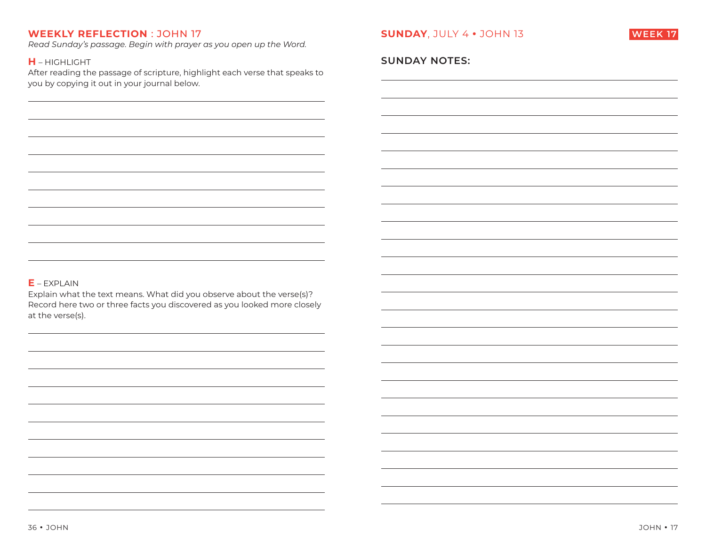*Read Sunday's passage. Begin with prayer as you open up the Word.* 

#### **H** – HIGHLIGHT

After reading the passage of scripture, highlight each verse that speaks to you by copying it out in your journal below.



### **SUNDAY NOTES:**

### **E** – EXPLAIN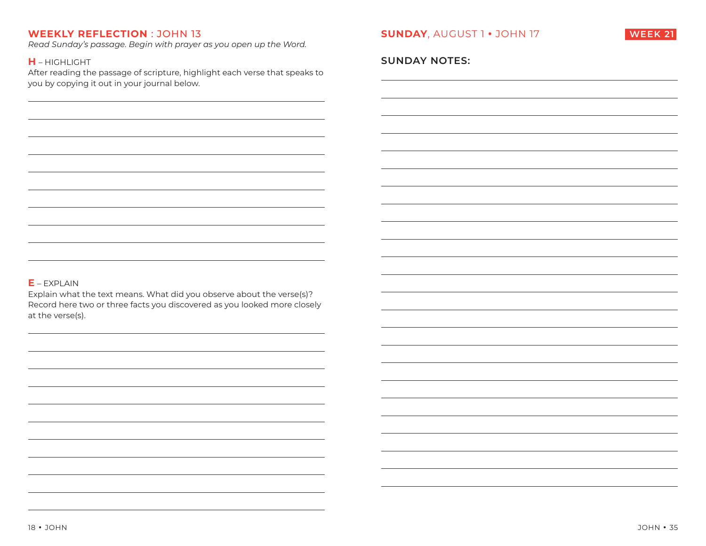*Read Sunday's passage. Begin with prayer as you open up the Word.* 

#### **H** – HIGHLIGHT

After reading the passage of scripture, highlight each verse that speaks to you by copying it out in your journal below.



### **SUNDAY NOTES:**

#### **E** – EXPLAIN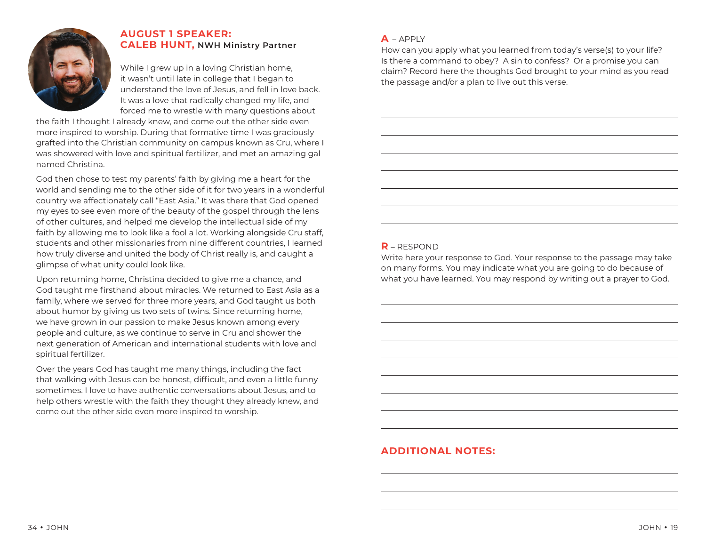

# **AUGUST 1 SPEAKER: CALEB HUNT, NWH Ministry Partner**

While I grew up in a loving Christian home, it wasn't until late in college that I began to understand the love of Jesus, and fell in love back. It was a love that radically changed my life, and forced me to wrestle with many questions about

the faith I thought I already knew, and come out the other side even more inspired to worship. During that formative time I was graciously grafted into the Christian community on campus known as Cru, where I was showered with love and spiritual fertilizer, and met an amazing gal named Christina.

God then chose to test my parents' faith by giving me a heart for the world and sending me to the other side of it for two years in a wonderful country we affectionately call "East Asia." It was there that God opened my eyes to see even more of the beauty of the gospel through the lens of other cultures, and helped me develop the intellectual side of my faith by allowing me to look like a fool a lot. Working alongside Cru staff, students and other missionaries from nine different countries, I learned how truly diverse and united the body of Christ really is, and caught a glimpse of what unity could look like.

Upon returning home, Christina decided to give me a chance, and God taught me firsthand about miracles. We returned to East Asia as a family, where we served for three more years, and God taught us both about humor by giving us two sets of twins. Since returning home, we have grown in our passion to make Jesus known among every people and culture, as we continue to serve in Cru and shower the next generation of American and international students with love and spiritual fertilizer.

Over the years God has taught me many things, including the fact that walking with Jesus can be honest, difficult, and even a little funny sometimes. I love to have authentic conversations about Jesus, and to help others wrestle with the faith they thought they already knew, and come out the other side even more inspired to worship.

### $\triangle$  – APPLY

How can you apply what you learned from today's verse(s) to your life? Is there a command to obey? A sin to confess? Or a promise you can claim? Record here the thoughts God brought to your mind as you read the passage and/or a plan to live out this verse.

# **R** – RESPOND

Write here your response to God. Your response to the passage may take on many forms. You may indicate what you are going to do because of what you have learned. You may respond by writing out a prayer to God.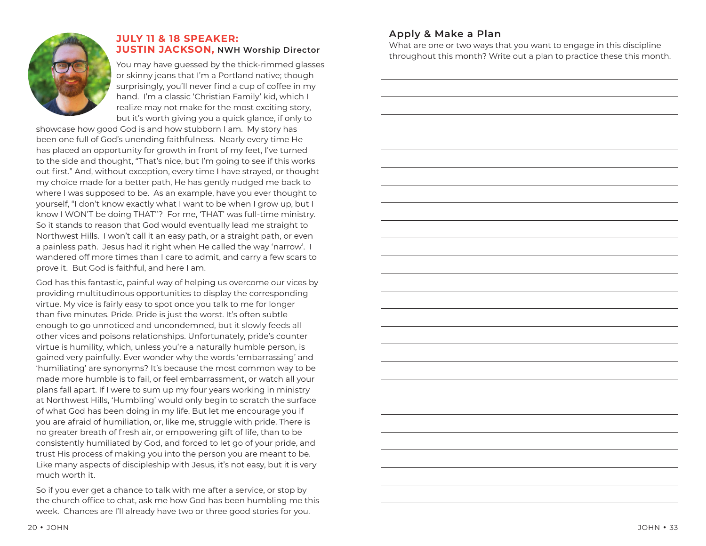

# **JULY 11 & 18 SPEAKER: JUSTIN JACKSON, NWH Worship Director**

You may have guessed by the thick-rimmed glasses or skinny jeans that I'm a Portland native; though surprisingly, you'll never find a cup of coffee in my hand. I'm a classic 'Christian Family' kid, which I realize may not make for the most exciting story, but it's worth giving you a quick glance, if only to

showcase how good God is and how stubborn I am. My story has been one full of God's unending faithfulness. Nearly every time He has placed an opportunity for growth in front of my feet, I've turned to the side and thought, "That's nice, but I'm going to see if this works out first." And, without exception, every time I have strayed, or thought my choice made for a better path, He has gently nudged me back to where I was supposed to be. As an example, have you ever thought to yourself, "I don't know exactly what I want to be when I grow up, but I know I WON'T be doing THAT"? For me, 'THAT' was full-time ministry. So it stands to reason that God would eventually lead me straight to Northwest Hills. I won't call it an easy path, or a straight path, or even a painless path. Jesus had it right when He called the way 'narrow'. I wandered off more times than I care to admit, and carry a few scars to prove it. But God is faithful, and here I am.

God has this fantastic, painful way of helping us overcome our vices by providing multitudinous opportunities to display the corresponding virtue. My vice is fairly easy to spot once you talk to me for longer than five minutes. Pride. Pride is just the worst. It's often subtle enough to go unnoticed and uncondemned, but it slowly feeds all other vices and poisons relationships. Unfortunately, pride's counter virtue is humility, which, unless you're a naturally humble person, is gained very painfully. Ever wonder why the words 'embarrassing' and 'humiliating' are synonyms? It's because the most common way to be made more humble is to fail, or feel embarrassment, or watch all your plans fall apart. If I were to sum up my four years working in ministry at Northwest Hills, 'Humbling' would only begin to scratch the surface of what God has been doing in my life. But let me encourage you if you are afraid of humiliation, or, like me, struggle with pride. There is no greater breath of fresh air, or empowering gift of life, than to be consistently humiliated by God, and forced to let go of your pride, and trust His process of making you into the person you are meant to be. Like many aspects of discipleship with Jesus, it's not easy, but it is very much worth it.

So if you ever get a chance to talk with me after a service, or stop by the church office to chat, ask me how God has been humbling me this week. Chances are I'll already have two or three good stories for you.

# **Apply & Make a Plan**

What are one or two ways that you want to engage in this discipline throughout this month? Write out a plan to practice these this month.

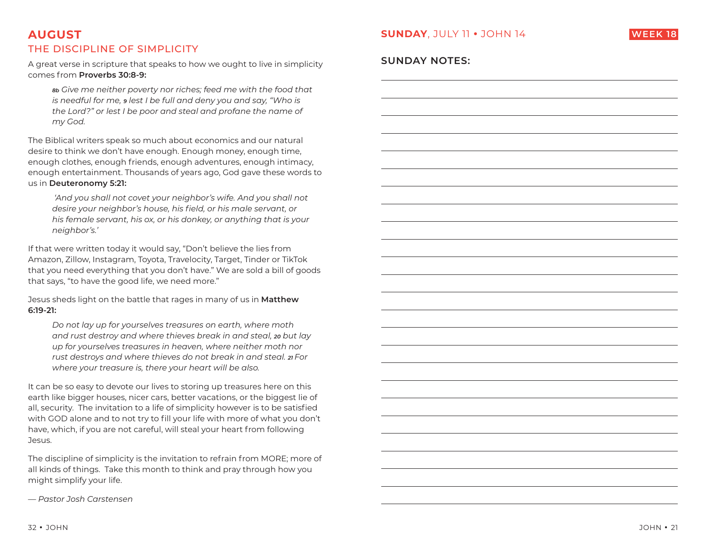# **SUNDAY**, JULY 11 **•** JOHN 14

**SUNDAY NOTES:** 



# **AUGUST**THE DISCIPLINE OF SIMPLICITY

A great verse in scripture that speaks to how we ought to live in simplicity comes from **Proverbs 30:8-9:**

*8b Give me neither poverty nor riches; feed me with the food that is needful for me, 9 lest I be full and deny you and say, "Who is the Lord?" or lest I be poor and steal and profane the name of my God.*

The Biblical writers speak so much about economics and our natural desire to think we don't have enough. Enough money, enough time, enough clothes, enough friends, enough adventures, enough intimacy, enough entertainment. Thousands of years ago, God gave these words to us in **Deuteronomy 5:21:**

 *'And you shall not covet your neighbor's wife. And you shall not*  desire your neighbor's house, his field, or his male servant, or *his female servant, his ox, or his donkey, or anything that is your neighbor's.'* 

If that were written today it would say, "Don't believe the lies from Amazon, Zillow, Instagram, Toyota, Travelocity, Target, Tinder or TikTok that you need everything that you don't have." We are sold a bill of goods that says, "to have the good life, we need more."

Jesus sheds light on the battle that rages in many of us in **Matthew 6:19-21:** 

*Do not lay up for yourselves treasures on earth, where moth and rust destroy and where thieves break in and steal, 20 but lay up for yourselves treasures in heaven, where neither moth nor rust destroys and where thieves do not break in and steal. 21 For where your treasure is, there your heart will be also.*

It can be so easy to devote our lives to storing up treasures here on this earth like bigger houses, nicer cars, better vacations, or the biggest lie of all, security. The invitation to a life of simplicity however is to be satisfied with GOD alone and to not try to fill your life with more of what you don't have, which, if you are not careful, will steal your heart from following Jesus.

The discipline of simplicity is the invitation to refrain from MORE; more of all kinds of things. Take this month to think and pray through how you might simplify your life.

*— Pastor Josh Carstensen*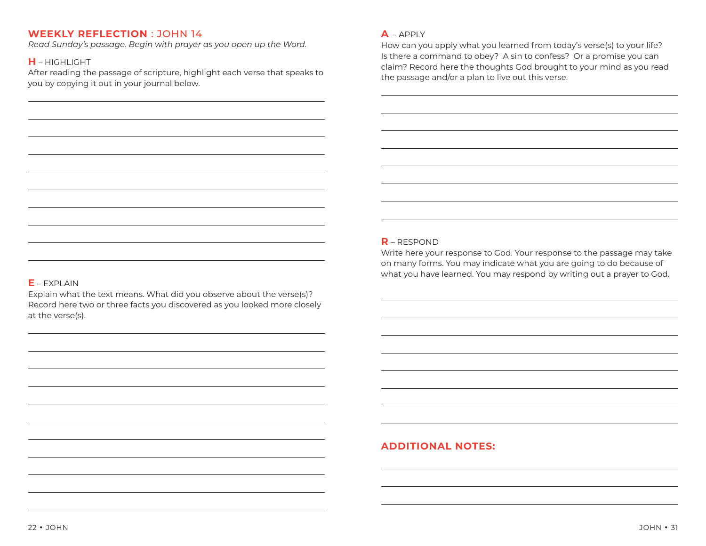*Read Sunday's passage. Begin with prayer as you open up the Word.* 

## **H** – HIGHLIGHT

After reading the passage of scripture, highlight each verse that speaks to you by copying it out in your journal below.

#### **A** – APPLY

How can you apply what you learned from today's verse(s) to your life? Is there a command to obey? A sin to confess? Or a promise you can claim? Record here the thoughts God brought to your mind as you read the passage and/or a plan to live out this verse.

### **R** – RESPOND

Write here your response to God. Your response to the passage may take on many forms. You may indicate what you are going to do because of what you have learned. You may respond by writing out a prayer to God.

### **E** – EXPLAIN

Explain what the text means. What did you observe about the verse(s)? Record here two or three facts you discovered as you looked more closely at the verse(s).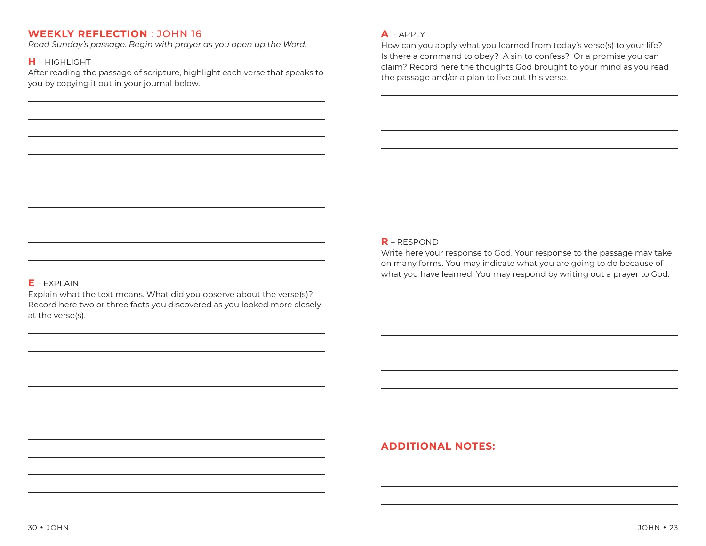*Read Sunday's passage. Begin with prayer as you open up the Word.* 

## **H** – HIGHLIGHT

After reading the passage of scripture, highlight each verse that speaks to you by copying it out in your journal below.

#### **A** – APPLY

How can you apply what you learned from today's verse(s) to your life? Is there a command to obey? A sin to confess? Or a promise you can claim? Record here the thoughts God brought to your mind as you read the passage and/or a plan to live out this verse.

### **R** – RESPOND

Write here your response to God. Your response to the passage may take on many forms. You may indicate what you are going to do because of what you have learned. You may respond by writing out a prayer to God.

### **E** – EXPLAIN

Explain what the text means. What did you observe about the verse(s)? Record here two or three facts you discovered as you looked more closely at the verse(s).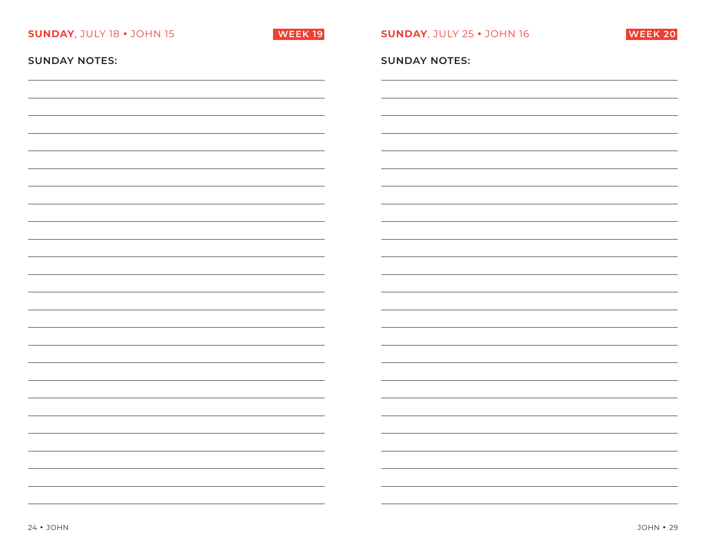| <b>SUNDAY, JULY 18 . JOHN 15</b> | <b>WEEK 19</b>           | <b>SUNDAY, JULY 25 . JOHN 16</b> | <b>WEEK 20</b> |
|----------------------------------|--------------------------|----------------------------------|----------------|
| <b>SUNDAY NOTES:</b>             |                          | <b>SUNDAY NOTES:</b>             |                |
|                                  |                          |                                  |                |
|                                  |                          |                                  |                |
|                                  |                          |                                  |                |
|                                  |                          |                                  |                |
|                                  |                          |                                  |                |
|                                  |                          |                                  |                |
|                                  |                          |                                  |                |
|                                  |                          |                                  |                |
|                                  |                          |                                  |                |
|                                  |                          |                                  |                |
|                                  |                          |                                  |                |
|                                  |                          |                                  |                |
|                                  | $\overline{\phantom{a}}$ |                                  |                |
|                                  | $\overline{\phantom{0}}$ |                                  |                |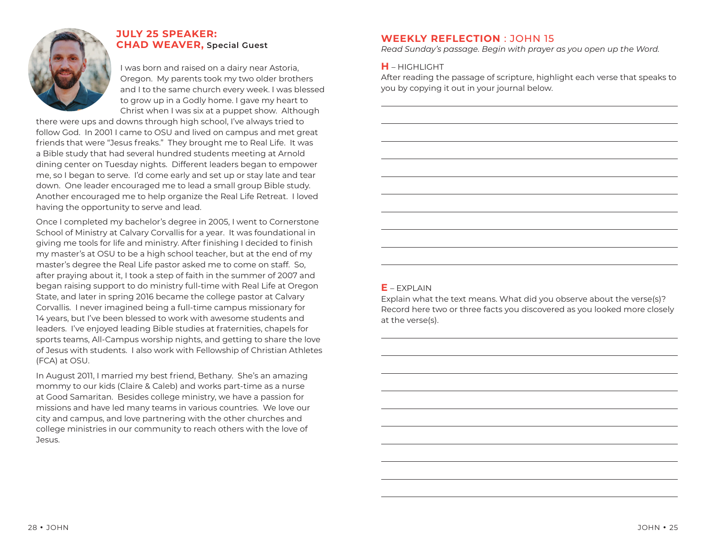

# **JULY 25 SPEAKER: CHAD WEAVER, Special Guest**

I was born and raised on a dairy near Astoria, Oregon. My parents took my two older brothers and I to the same church every week. I was blessed to grow up in a Godly home. I gave my heart to Christ when I was six at a puppet show. Although

there were ups and downs through high school, I've always tried to follow God. In 2001 I came to OSU and lived on campus and met great friends that were "Jesus freaks." They brought me to Real Life. It was a Bible study that had several hundred students meeting at Arnold dining center on Tuesday nights. Different leaders began to empower me, so I began to serve. I'd come early and set up or stay late and tear down. One leader encouraged me to lead a small group Bible study. Another encouraged me to help organize the Real Life Retreat. I loved having the opportunity to serve and lead.

Once I completed my bachelor's degree in 2005, I went to Cornerstone School of Ministry at Calvary Corvallis for a year. It was foundational in giving me tools for life and ministry. After finishing I decided to finish my master's at OSU to be a high school teacher, but at the end of my master's degree the Real Life pastor asked me to come on staff. So, after praying about it, I took a step of faith in the summer of 2007 and began raising support to do ministry full-time with Real Life at Oregon State, and later in spring 2016 became the college pastor at Calvary Corvallis. I never imagined being a full-time campus missionary for 14 years, but I've been blessed to work with awesome students and leaders. I've enjoyed leading Bible studies at fraternities, chapels for sports teams, All-Campus worship nights, and getting to share the love of Jesus with students. I also work with Fellowship of Christian Athletes (FCA) at OSU.

In August 2011, I married my best friend, Bethany. She's an amazing mommy to our kids (Claire & Caleb) and works part-time as a nurse at Good Samaritan. Besides college ministry, we have a passion for missions and have led many teams in various countries. We love our city and campus, and love partnering with the other churches and college ministries in our community to reach others with the love of Jesus.

# **WEEKLY REFLECTION** : JOHN 15

*Read Sunday's passage. Begin with prayer as you open up the Word.* 

### **H** – HIGHLIGHT

After reading the passage of scripture, highlight each verse that speaks to you by copying it out in your journal below.

### $F$  – **EXPLAIN**